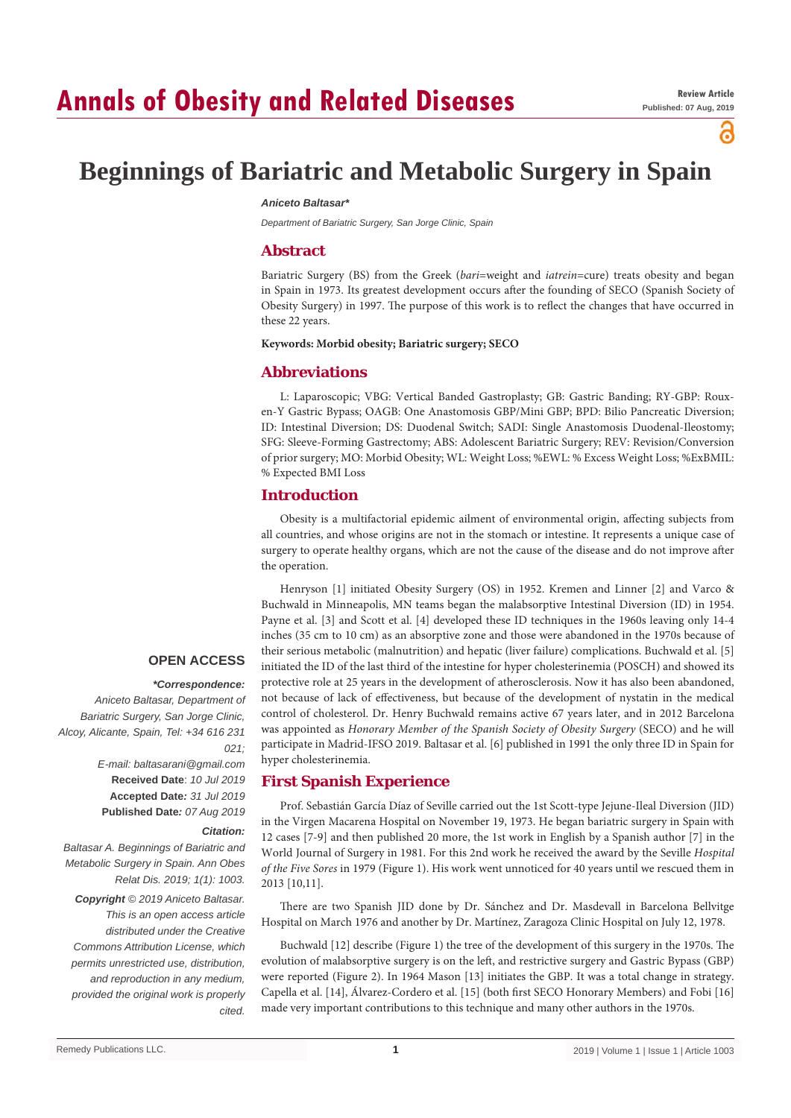# **Annals of Obesity and Related Diseases**

പ

# **Beginnings of Bariatric and Metabolic Surgery in Spain**

#### *Aniceto Baltasar\**

*Department of Bariatric Surgery, San Jorge Clinic, Spain*

## **Abstract**

Bariatric Surgery (BS) from the Greek (*bari*=weight and *iatrein*=cure) treats obesity and began in Spain in 1973. Its greatest development occurs after the founding of SECO (Spanish Society of Obesity Surgery) in 1997. The purpose of this work is to reflect the changes that have occurred in these 22 years.

**Keywords: Morbid obesity; Bariatric surgery; SECO**

## **Abbreviations**

L: Laparoscopic; VBG: Vertical Banded Gastroplasty; GB: Gastric Banding; RY-GBP: Rouxen-Y Gastric Bypass; OAGB: One Anastomosis GBP/Mini GBP; BPD: Bilio Pancreatic Diversion; ID: Intestinal Diversion; DS: Duodenal Switch; SADI: Single Anastomosis Duodenal-Ileostomy; SFG: Sleeve-Forming Gastrectomy; ABS: Adolescent Bariatric Surgery; REV: Revision/Conversion of prior surgery; MO: Morbid Obesity; WL: Weight Loss; %EWL: % Excess Weight Loss; %ExBMIL: % Expected BMI Loss

## **Introduction**

Obesity is a multifactorial epidemic ailment of environmental origin, affecting subjects from all countries, and whose origins are not in the stomach or intestine. It represents a unique case of surgery to operate healthy organs, which are not the cause of the disease and do not improve after the operation.

Henryson [1] initiated Obesity Surgery (OS) in 1952. Kremen and Linner [2] and Varco & Buchwald in Minneapolis, MN teams began the malabsorptive Intestinal Diversion (ID) in 1954. Payne et al. [3] and Scott et al. [4] developed these ID techniques in the 1960s leaving only 14-4 inches (35 cm to 10 cm) as an absorptive zone and those were abandoned in the 1970s because of their serious metabolic (malnutrition) and hepatic (liver failure) complications. Buchwald et al. [5] initiated the ID of the last third of the intestine for hyper cholesterinemia (POSCH) and showed its protective role at 25 years in the development of atherosclerosis. Now it has also been abandoned, not because of lack of effectiveness, but because of the development of nystatin in the medical control of cholesterol. Dr. Henry Buchwald remains active 67 years later, and in 2012 Barcelona was appointed as *Honorary Member of the Spanish Society of Obesity Surgery* (SECO) and he will participate in Madrid-IFSO 2019. Baltasar et al. [6] published in 1991 the only three ID in Spain for hyper cholesterinemia.

## **First Spanish Experience**

Prof. Sebastián García Díaz of Seville carried out the 1st Scott-type Jejune-Ileal Diversion (JID) in the Virgen Macarena Hospital on November 19, 1973. He began bariatric surgery in Spain with 12 cases [7-9] and then published 20 more, the 1st work in English by a Spanish author [7] in the World Journal of Surgery in 1981. For this 2nd work he received the award by the Seville *Hospital of the Five Sores* in 1979 (Figure 1). His work went unnoticed for 40 years until we rescued them in 2013 [10,11].

There are two Spanish JID done by Dr. Sánchez and Dr. Masdevall in Barcelona Bellvitge Hospital on March 1976 and another by Dr. Martínez, Zaragoza Clinic Hospital on July 12, 1978.

Buchwald [12] describe (Figure 1) the tree of the development of this surgery in the 1970s. The evolution of malabsorptive surgery is on the left, and restrictive surgery and Gastric Bypass (GBP) were reported (Figure 2). In 1964 Mason [13] initiates the GBP. It was a total change in strategy. Capella et al. [14], Álvarez-Cordero et al. [15] (both first SECO Honorary Members) and Fobi [16] made very important contributions to this technique and many other authors in the 1970s.

# **OPEN ACCESS**

#### *\*Correspondence:*

*Aniceto Baltasar, Department of Bariatric Surgery, San Jorge Clinic, Alcoy, Alicante, Spain, Tel: +34 616 231 021;*

> *E-mail: baltasarani@gmail.com* **Received Date**: *10 Jul 2019* **Accepted Date***: 31 Jul 2019* **Published Date***: 07 Aug 2019*

#### *Citation:*

*Baltasar A. Beginnings of Bariatric and Metabolic Surgery in Spain. Ann Obes Relat Dis. 2019; 1(1): 1003.*

*Copyright © 2019 Aniceto Baltasar. This is an open access article distributed under the Creative Commons Attribution License, which permits unrestricted use, distribution, and reproduction in any medium, provided the original work is properly cited.*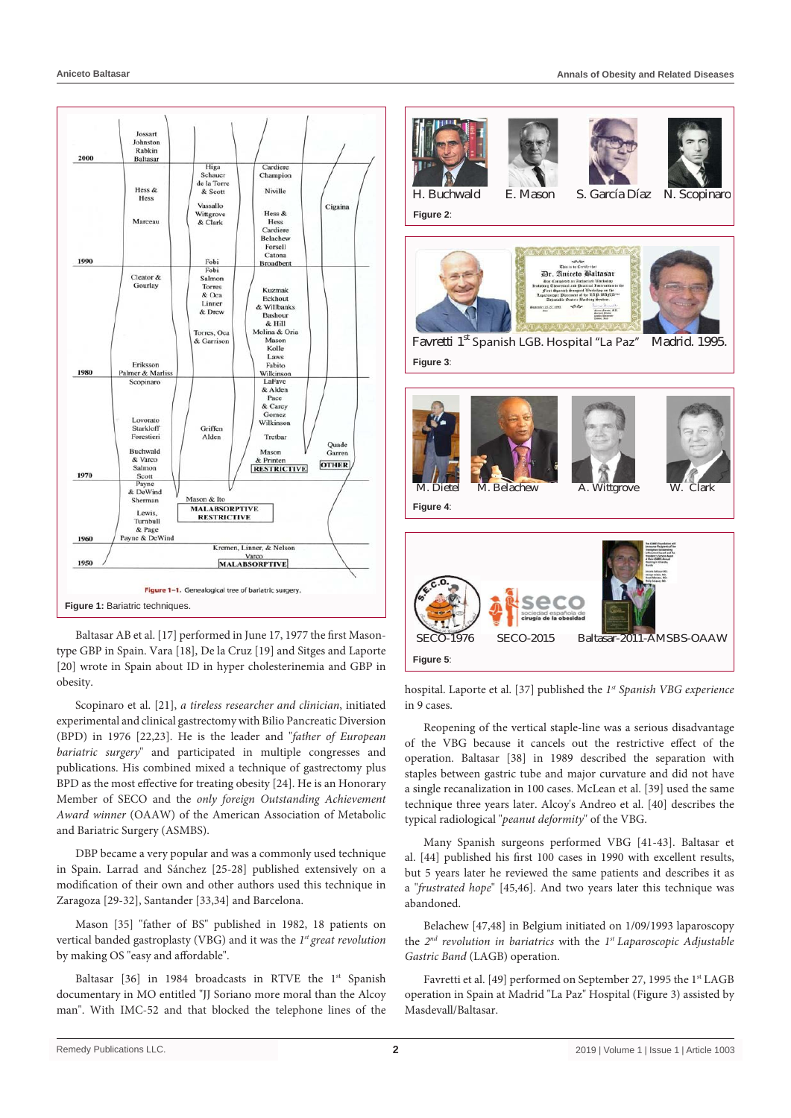

Baltasar AB et al. [17] performed in June 17, 1977 the first Masontype GBP in Spain. Vara [18], De la Cruz [19] and Sitges and Laporte [20] wrote in Spain about ID in hyper cholesterinemia and GBP in obesity.

Scopinaro et al. [21], *a tireless researcher and clinician*, initiated experimental and clinical gastrectomy with Bilio Pancreatic Diversion (BPD) in 1976 [22,23]. He is the leader and "*father of European bariatric surgery*" and participated in multiple congresses and publications. His combined mixed a technique of gastrectomy plus BPD as the most effective for treating obesity [24]. He is an Honorary Member of SECO and the *only foreign Outstanding Achievement Award winner* (OAAW) of the American Association of Metabolic and Bariatric Surgery (ASMBS).

DBP became a very popular and was a commonly used technique in Spain. Larrad and Sánchez [25-28] published extensively on a modification of their own and other authors used this technique in Zaragoza [29-32], Santander [33,34] and Barcelona.

Mason [35] "father of BS" published in 1982, 18 patients on vertical banded gastroplasty (VBG) and it was the *1st great revolution* by making OS "easy and affordable".

Baltasar [36] in 1984 broadcasts in RTVE the 1<sup>st</sup> Spanish documentary in MO entitled "JJ Soriano more moral than the Alcoy man". With IMC-52 and that blocked the telephone lines of the



Reopening of the vertical staple-line was a serious disadvantage of the VBG because it cancels out the restrictive effect of the operation. Baltasar [38] in 1989 described the separation with staples between gastric tube and major curvature and did not have a single recanalization in 100 cases. McLean et al. [39] used the same technique three years later. Alcoy's Andreo et al. [40] describes the typical radiological "*peanut deformity*" of the VBG.

Many Spanish surgeons performed VBG [41-43]. Baltasar et al. [44] published his first 100 cases in 1990 with excellent results, but 5 years later he reviewed the same patients and describes it as a "*frustrated hope*" [45,46]. And two years later this technique was abandoned.

Belachew [47,48] in Belgium initiated on 1/09/1993 laparoscopy the *2nd revolution in bariatrics* with the *1st Laparoscopic Adjustable Gastric Band* (LAGB) operation.

Favretti et al. [49] performed on September 27, 1995 the 1st LAGB operation in Spain at Madrid "La Paz" Hospital (Figure 3) assisted by Masdevall/Baltasar.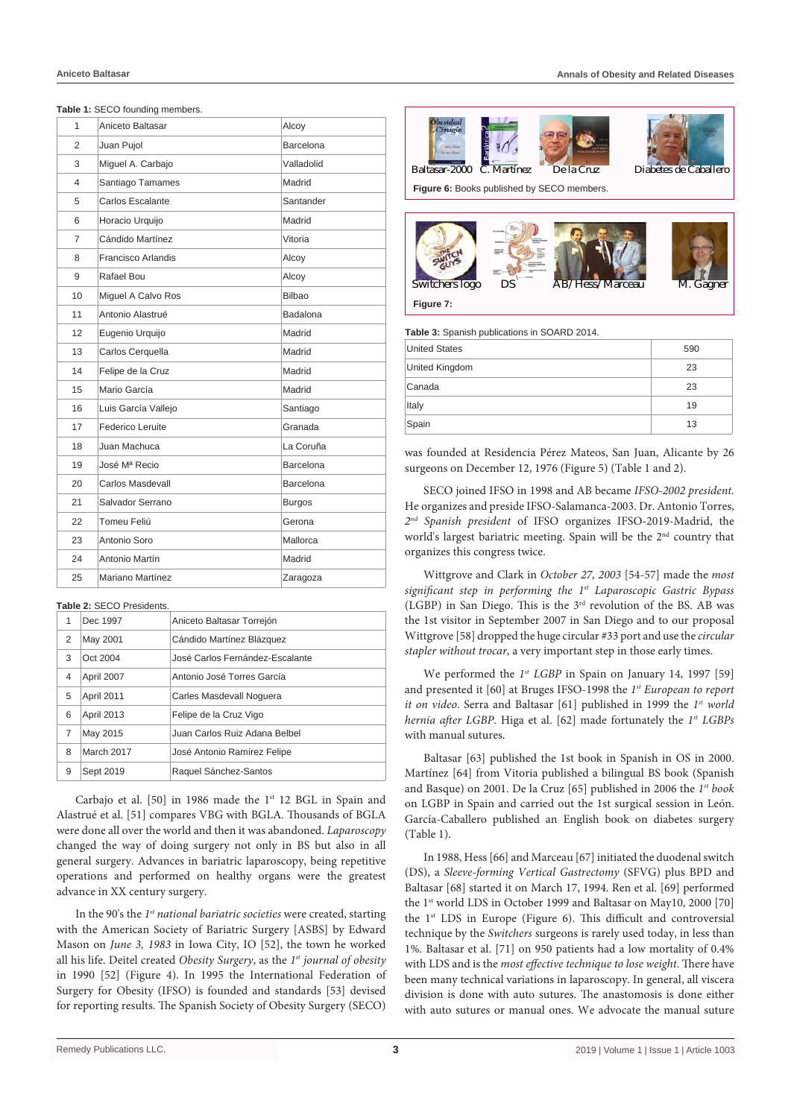### **Table 1:** SECO founding members.

| 1              | Aniceto Baltasar    | Alcoy         |
|----------------|---------------------|---------------|
| $\overline{2}$ | Juan Pujol          | Barcelona     |
| 3              | Miquel A. Carbajo   | Valladolid    |
| 4              | Santiago Tamames    | Madrid        |
| 5              | Carlos Escalante    | Santander     |
| 6              | Horacio Urquijo     | Madrid        |
| 7              | Cándido Martínez    | Vitoria       |
| 8              | Francisco Arlandis  | Alcoy         |
| 9              | Rafael Bou          | Alcoy         |
| 10             | Miguel A Calvo Ros  | Bilbao        |
| 11             | Antonio Alastrué    | Badalona      |
| 12             | Eugenio Urquijo     | Madrid        |
| 13             | Carlos Cerquella    | Madrid        |
| 14             | Felipe de la Cruz   | Madrid        |
| 15             | Mario García        | Madrid        |
| 16             | Luis García Vallejo | Santiago      |
| 17             | Federico Leruite    | Granada       |
| 18             | Juan Machuca        | La Coruña     |
| 19             | José Mª Recio       | Barcelona     |
| 20             | Carlos Masdevall    | Barcelona     |
| 21             | Salvador Serrano    | <b>Burgos</b> |
| 22             | Tomeu Feliú         | Gerona        |
| 23             | Antonio Soro        | Mallorca      |
| 24             | Antonio Martín      | Madrid        |
| 25             | Mariano Martínez    | Zaragoza      |
|                |                     |               |

#### **Table 2:** SECO Presidents.

| 1 | Dec 1997   | Aniceto Baltasar Torrejón       |
|---|------------|---------------------------------|
| 2 | May 2001   | Cándido Martínez Blázquez       |
| 3 | Oct 2004   | José Carlos Fernández-Escalante |
| 4 | April 2007 | Antonio José Torres García      |
| 5 | April 2011 | Carles Masdevall Noquera        |
| 6 | April 2013 | Felipe de la Cruz Vigo          |
| 7 | May 2015   | Juan Carlos Ruiz Adana Belbel   |
| 8 | March 2017 | José Antonio Ramírez Felipe     |
| 9 | Sept 2019  | Raquel Sánchez-Santos           |

Carbajo et al. [50] in 1986 made the 1<sup>st</sup> 12 BGL in Spain and Alastrué et al. [51] compares VBG with BGLA. Thousands of BGLA were done all over the world and then it was abandoned. *Laparoscopy* changed the way of doing surgery not only in BS but also in all general surgery. Advances in bariatric laparoscopy, being repetitive operations and performed on healthy organs were the greatest advance in XX century surgery.

In the 90's the *1st national bariatric societies* were created, starting with the American Society of Bariatric Surgery [ASBS] by Edward Mason on *June 3, 1983* in Iowa City, IO [52], the town he worked all his life. Deitel created *Obesity Surgery*, as the *1st journal of obesity* in 1990 [52] (Figure 4). In 1995 the International Federation of Surgery for Obesity (IFSO) is founded and standards [53] devised for reporting results. The Spanish Society of Obesity Surgery (SECO)



Switchers logo DS AB/ Hess/ Marceau M. Gagner

**Table 3:** Spanish publications in SOARD 2014.

**Figure 7:**

| <b>United States</b> | 590 |
|----------------------|-----|
| United Kingdom       | 23  |
| Canada               | 23  |
| Italy                | 19  |
| Spain                | 13  |

was founded at Residencia Pérez Mateos, San Juan, Alicante by 26 surgeons on December 12, 1976 (Figure 5) (Table 1 and 2).

SECO joined IFSO in 1998 and AB became *IFSO-2002 president*. He organizes and preside IFSO-Salamanca-2003. Dr. Antonio Torres, *2nd Spanish president* of IFSO organizes IFSO-2019-Madrid, the world's largest bariatric meeting. Spain will be the 2<sup>nd</sup> country that organizes this congress twice.

Wittgrove and Clark in *October 27, 2003* [54-57] made the *most significant step in performing the 1st Laparoscopic Gastric Bypass* (LGBP) in San Diego. This is the 3rd revolution of the BS. AB was the 1st visitor in September 2007 in San Diego and to our proposal Wittgrove [58] dropped the huge circular #33 port and use the *circular stapler without trocar*, a very important step in those early times.

We performed the *1st LGBP* in Spain on January 14, 1997 [59] and presented it [60] at Bruges IFSO-1998 the *1st European to report it on video*. Serra and Baltasar [61] published in 1999 the *1st world hernia after LGBP*. Higa et al. [62] made fortunately the *1st LGBPs* with manual sutures.

Baltasar [63] published the 1st book in Spanish in OS in 2000. Martínez [64] from Vitoria published a bilingual BS book (Spanish and Basque) on 2001. De la Cruz [65] published in 2006 the *1st book*  on LGBP in Spain and carried out the 1st surgical session in León. García-Caballero published an English book on diabetes surgery (Table 1).

In 1988, Hess [66] and Marceau [67] initiated the duodenal switch (DS), a *Sleeve-forming Vertical Gastrectomy* (SFVG) plus BPD and Baltasar [68] started it on March 17, 1994. Ren et al. [69] performed the 1<sup>st</sup> world LDS in October 1999 and Baltasar on May10, 2000 [70] the 1st LDS in Europe (Figure 6). This difficult and controversial technique by the *Switchers* surgeons is rarely used today, in less than 1%. Baltasar et al. [71] on 950 patients had a low mortality of 0.4% with LDS and is the *most effective technique to lose weight*. There have been many technical variations in laparoscopy. In general, all viscera division is done with auto sutures. The anastomosis is done either with auto sutures or manual ones. We advocate the manual suture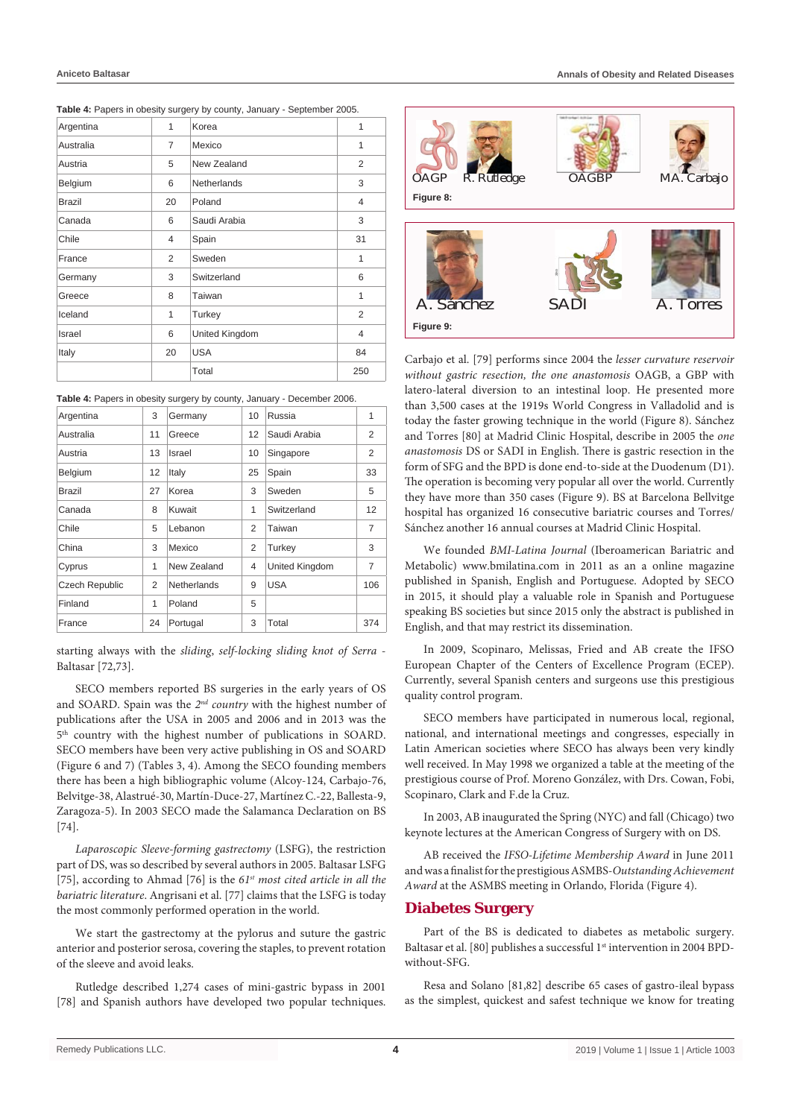| Argentina | 1              | Korea          |                |                                                                      | <b>MOTORS</b> 1 |             |
|-----------|----------------|----------------|----------------|----------------------------------------------------------------------|-----------------|-------------|
| Australia | $\overline{7}$ | Mexico         |                |                                                                      |                 |             |
| Austria   | 5              | New Zealand    | 2              |                                                                      |                 |             |
| Belgium   | 6              | Netherlands    | 3              | <b>OAGP</b><br>R. Rutledge                                           | <b>OAGBP</b>    | MA. Carbajo |
| Brazil    | 20             | Poland         | 4              | Figure 8:                                                            |                 |             |
| Canada    | 6              | Saudi Arabia   | 3              |                                                                      |                 |             |
| Chile     | 4              | Spain          | 31             |                                                                      |                 |             |
| France    | 2              | Sweden         |                |                                                                      |                 |             |
| Germany   | 3              | Switzerland    | 6              |                                                                      |                 |             |
| Greece    | 8              | Taiwan         |                |                                                                      |                 |             |
| Iceland   | 1              | Turkey         | $\overline{2}$ | A. Sánchez                                                           | <b>SADI</b>     | A. Torres   |
| Israel    | 6              | United Kingdom | 4              | Figure 9:                                                            |                 |             |
| Italy     | 20             | <b>USA</b>     | 84             | Carbajo et al. [79] performs since 2004 the lesser curvature reserve |                 |             |
|           |                | Total          | 250            | without gastric resection, the one anastomosis OAGB, a GBP wi        |                 |             |

**Table 4:** Papers in obesity surgery by county, January - September 2005.

**Table 4:** Papers in obesity surgery by county, January - December 2006.

| Argentina             | 3  | Germany     | 10             | Russia         | 1   |
|-----------------------|----|-------------|----------------|----------------|-----|
| Australia             | 11 | Greece      | 12             | Saudi Arabia   | 2   |
| Austria               | 13 | Israel      | 10             | Singapore      | 2   |
| Belgium               | 12 | Italy       | 25             | Spain          | 33  |
| Brazil                | 27 | Korea       | 3              | Sweden         | 5   |
| Canada                | 8  | Kuwait      | 1              | Switzerland    | 12  |
| Chile                 | 5  | Lebanon     | $\overline{2}$ | Taiwan         | 7   |
| China                 | 3  | Mexico      | 2              | Turkey         | 3   |
| Cyprus                | 1  | New Zealand | 4              | United Kingdom | 7   |
| <b>Czech Republic</b> | 2  | Netherlands | 9              | <b>USA</b>     | 106 |
| Finland               | 1  | Poland      | 5              |                |     |
| France                | 24 | Portugal    | 3              | Total          | 374 |

starting always with the *sliding*, *self-locking sliding knot of Serra* - Baltasar [72,73].

SECO members reported BS surgeries in the early years of OS and SOARD. Spain was the *2nd country* with the highest number of publications after the USA in 2005 and 2006 and in 2013 was the  $5<sup>th</sup>$  country with the highest number of publications in SOARD. SECO members have been very active publishing in OS and SOARD (Figure 6 and 7) (Tables 3, 4). Among the SECO founding members there has been a high bibliographic volume (Alcoy-124, Carbajo-76, Belvitge-38, Alastrué-30, Martín-Duce-27, Martínez C.-22, Ballesta-9, Zaragoza-5). In 2003 SECO made the Salamanca Declaration on BS [74].

*Laparoscopic Sleeve-forming gastrectomy* (LSFG), the restriction part of DS, was so described by several authors in 2005. Baltasar LSFG [75], according to Ahmad [76] is the *61st most cited article in all the bariatric literature*. Angrisani et al. [77] claims that the LSFG is today the most commonly performed operation in the world.

We start the gastrectomy at the pylorus and suture the gastric anterior and posterior serosa, covering the staples, to prevent rotation of the sleeve and avoid leaks.

Rutledge described 1,274 cases of mini-gastric bypass in 2001 [78] and Spanish authors have developed two popular techniques.



Carbajo et al. [79] performs since 2004 the *lesser curvature reservoir without gastric resection, the one anastomosis* OAGB, a GBP with latero-lateral diversion to an intestinal loop. He presented more than 3,500 cases at the 1919s World Congress in Valladolid and is today the faster growing technique in the world (Figure 8). Sánchez and Torres [80] at Madrid Clinic Hospital, describe in 2005 the *one anastomosis* DS or SADI in English. There is gastric resection in the form of SFG and the BPD is done end-to-side at the Duodenum (D1). The operation is becoming very popular all over the world. Currently they have more than 350 cases (Figure 9). BS at Barcelona Bellvitge hospital has organized 16 consecutive bariatric courses and Torres/ Sánchez another 16 annual courses at Madrid Clinic Hospital.

We founded *BMI-Latina Journal* (Iberoamerican Bariatric and Metabolic) www.bmilatina.com in 2011 as an a online magazine published in Spanish, English and Portuguese. Adopted by SECO in 2015, it should play a valuable role in Spanish and Portuguese speaking BS societies but since 2015 only the abstract is published in English, and that may restrict its dissemination.

In 2009, Scopinaro, Melissas, Fried and AB create the IFSO European Chapter of the Centers of Excellence Program (ECEP). Currently, several Spanish centers and surgeons use this prestigious quality control program.

SECO members have participated in numerous local, regional, national, and international meetings and congresses, especially in Latin American societies where SECO has always been very kindly well received. In May 1998 we organized a table at the meeting of the prestigious course of Prof. Moreno González, with Drs. Cowan, Fobi, Scopinaro, Clark and F.de la Cruz.

In 2003, AB inaugurated the Spring (NYC) and fall (Chicago) two keynote lectures at the American Congress of Surgery with on DS.

AB received the *IFSO-Lifetime Membership Award* in June 2011 and was a finalist for the prestigious ASMBS-*Outstanding Achievement Award* at the ASMBS meeting in Orlando, Florida (Figure 4).

## **Diabetes Surgery**

Part of the BS is dedicated to diabetes as metabolic surgery. Baltasar et al. [80] publishes a successful 1<sup>st</sup> intervention in 2004 BPDwithout-SFG.

Resa and Solano [81,82] describe 65 cases of gastro-ileal bypass as the simplest, quickest and safest technique we know for treating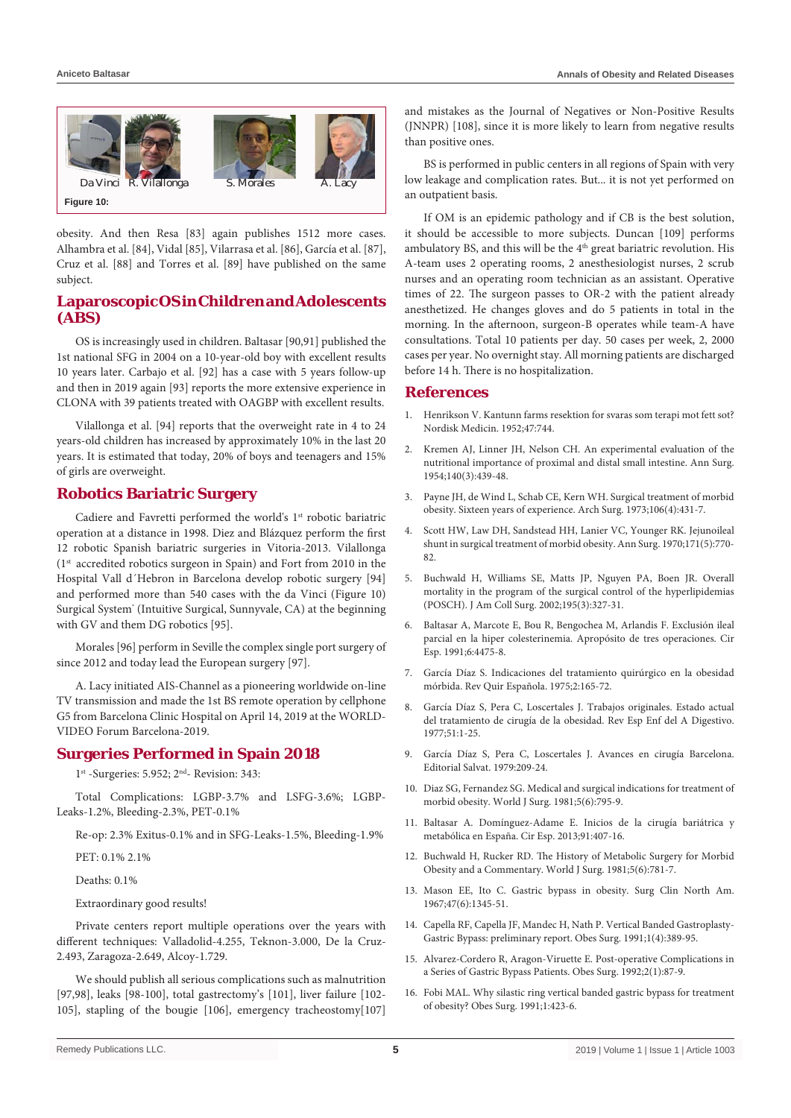

obesity. And then Resa [83] again publishes 1512 more cases. Alhambra et al. [84], Vidal [85], Vilarrasa et al. [86], García et al. [87], Cruz et al. [88] and Torres et al. [89] have published on the same subject.

## **Laparoscopic OS in Children and Adolescents (ABS)**

OS is increasingly used in children. Baltasar [90,91] published the 1st national SFG in 2004 on a 10-year-old boy with excellent results 10 years later. Carbajo et al. [92] has a case with 5 years follow-up and then in 2019 again [93] reports the more extensive experience in CLONA with 39 patients treated with OAGBP with excellent results.

Vilallonga et al. [94] reports that the overweight rate in 4 to 24 years-old children has increased by approximately 10% in the last 20 years. It is estimated that today, 20% of boys and teenagers and 15% of girls are overweight.

# **Robotics Bariatric Surgery**

Cadiere and Favretti performed the world's 1<sup>st</sup> robotic bariatric operation at a distance in 1998. Diez and Blázquez perform the first 12 robotic Spanish bariatric surgeries in Vitoria-2013. Vilallonga (1<sup>st</sup> accredited robotics surgeon in Spain) and Fort from 2010 in the Hospital Vall d´Hebron in Barcelona develop robotic surgery [94] and performed more than 540 cases with the da Vinci (Figure 10) Surgical System<sup>®</sup> (Intuitive Surgical, Sunnyvale, CA) at the beginning with GV and them DG robotics [95].

Morales [96] perform in Seville the complex single port surgery of since 2012 and today lead the European surgery [97].

A. Lacy initiated AIS-Channel as a pioneering worldwide on-line TV transmission and made the 1st BS remote operation by cellphone G5 from Barcelona Clinic Hospital on April 14, 2019 at the WORLD-VIDEO Forum Barcelona-2019.

## **Surgeries Performed in Spain 2018**

1<sup>st</sup> -Surgeries: 5.952; 2<sup>nd</sup>- Revision: 343:

Total Complications: LGBP-3.7% and LSFG-3.6%; LGBP-Leaks-1.2%, Bleeding-2.3%, PET-0.1%

Re-op: 2.3% Exitus-0.1% and in SFG-Leaks-1.5%, Bleeding-1.9%

PET: 0.1% 2.1%

Deaths: 0.1%

Extraordinary good results!

Private centers report multiple operations over the years with different techniques: Valladolid-4.255, Teknon-3.000, De la Cruz-2.493, Zaragoza-2.649, Alcoy-1.729.

We should publish all serious complications such as malnutrition [97,98], leaks [98-100], total gastrectomy's [101], liver failure [102-105], stapling of the bougie [106], emergency tracheostomy[107] and mistakes as the Journal of Negatives or Non-Positive Results (JNNPR) [108], since it is more likely to learn from negative results than positive ones.

BS is performed in public centers in all regions of Spain with very low leakage and complication rates. But... it is not yet performed on an outpatient basis.

If OM is an epidemic pathology and if CB is the best solution, it should be accessible to more subjects. Duncan [109] performs ambulatory BS, and this will be the 4<sup>th</sup> great bariatric revolution. His A-team uses 2 operating rooms, 2 anesthesiologist nurses, 2 scrub nurses and an operating room technician as an assistant. Operative times of 22. The surgeon passes to OR-2 with the patient already anesthetized. He changes gloves and do 5 patients in total in the morning. In the afternoon, surgeon-B operates while team-A have consultations. Total 10 patients per day. 50 cases per week, 2, 2000 cases per year. No overnight stay. All morning patients are discharged before 14 h. There is no hospitalization.

## **References**

- 1. Henrikson V. Kantunn farms resektion for svaras som terapi mot fett sot? Nordisk Medicin. 1952;47:744.
- 2. [Kremen AJ, Linner JH, Nelson CH. An experimental evaluation of the](https://www.ncbi.nlm.nih.gov/pubmed/13198079)  [nutritional importance of proximal and distal small intestine. Ann Surg.](https://www.ncbi.nlm.nih.gov/pubmed/13198079)  [1954;140\(3\):439-48.](https://www.ncbi.nlm.nih.gov/pubmed/13198079)
- 3. [Payne JH, de Wind L, Schab CE, Kern WH. Surgical treatment of morbid](https://www.ncbi.nlm.nih.gov/pubmed/4696715)  [obesity. Sixteen years of experience. Arch Surg. 1973;106\(4\):431-7.](https://www.ncbi.nlm.nih.gov/pubmed/4696715)
- 4. [Scott HW, Law DH, Sandstead HH, Lanier VC, Younger RK. Jejunoileal](https://www.ncbi.nlm.nih.gov/pubmed/5445664)  [shunt in surgical treatment of morbid obesity. Ann Surg. 1970;171\(5\):770-](https://www.ncbi.nlm.nih.gov/pubmed/5445664)  $82$
- 5. [Buchwald H, Williams SE, Matts JP, Nguyen PA, Boen JR. Overall](https://www.ncbi.nlm.nih.gov/pubmed/12229939)  [mortality in the program of the surgical control of the hyperlipidemias](https://www.ncbi.nlm.nih.gov/pubmed/12229939)  [\(POSCH\). J Am Coll Surg. 2002;195\(3\):327-31.](https://www.ncbi.nlm.nih.gov/pubmed/12229939)
- 6. Baltasar A, Marcote E, Bou R, Bengochea M, Arlandis F. Exclusión ileal parcial en la hiper colesterinemia. Apropósito de tres operaciones. Cir Esp. 1991;6:4475-8.
- 7. García Díaz S. Indicaciones del tratamiento quirúrgico en la obesidad mórbida. Rev Quir Española. 1975;2:165-72.
- 8. García Díaz S, Pera C, Loscertales J. Trabajos originales. Estado actual del tratamiento de cirugía de la obesidad. Rev Esp Enf del A Digestivo. 1977;51:1-25.
- 9. García Díaz S, Pera C, Loscertales J. Avances en cirugía Barcelona. Editorial Salvat. 1979:209-24.
- 10. [Diaz SG, Fernandez SG. Medical and surgical indications for treatment of](https://www.ncbi.nlm.nih.gov/pubmed/7342473)  [morbid obesity. World J Surg. 1981;5\(6\):795-9.](https://www.ncbi.nlm.nih.gov/pubmed/7342473)
- 11. Baltasar A. Domínguez-Adame E. Inicios de la cirugía bariátrica y metabólica en España. Cir Esp. 2013;91:407-16.
- 12. [Buchwald H, Rucker RD. The History of Metabolic Surgery for Morbid](https://www.ncbi.nlm.nih.gov/pubmed/7043911)  [Obesity and a Commentary. World J Surg. 1981;5\(6\):781-7.](https://www.ncbi.nlm.nih.gov/pubmed/7043911)
- 13. [Mason EE, Ito C. Gastric bypass in obesity. Surg Clin North Am.](https://www.ncbi.nlm.nih.gov/pubmed/6073761)  [1967;47\(6\):1345-51.](https://www.ncbi.nlm.nih.gov/pubmed/6073761)
- 14. [Capella RF, Capella JF, Mandec H, Nath P. Vertical Banded Gastroplasty-](https://www.ncbi.nlm.nih.gov/pubmed/10775940)[Gastric Bypass: preliminary report. Obes Surg. 1991;1\(4\):389-95.](https://www.ncbi.nlm.nih.gov/pubmed/10775940)
- 15. [Alvarez-Cordero R, Aragon-Viruette E. Post-operative Complications in](https://www.ncbi.nlm.nih.gov/pubmed/10765170)  [a Series of Gastric Bypass Patients. Obes Surg. 1992;2\(1\):87-9.](https://www.ncbi.nlm.nih.gov/pubmed/10765170)
- 16. Fobi MAL. Why silastic ring vertical banded gastric bypass for treatment of obesity? Obes Surg. 1991;1:423-6.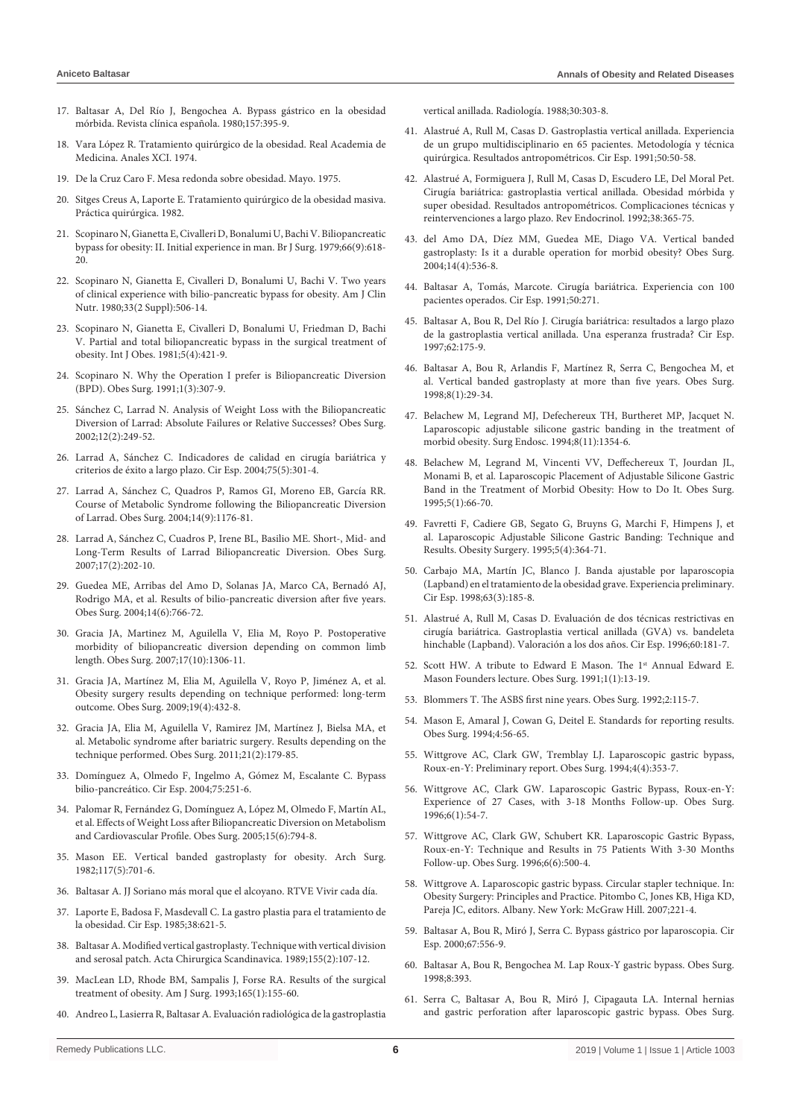- 17. Baltasar A, Del Río J, Bengochea A. Bypass gástrico en la obesidad mórbida. Revista clínica española. 1980;157:395-9.
- 18. Vara López R. Tratamiento quirúrgico de la obesidad. Real Academia de Medicina. Anales XCI. 1974.
- 19. De la Cruz Caro F. Mesa redonda sobre obesidad. Mayo. 1975.
- 20. Sitges Creus A, Laporte E. Tratamiento quirúrgico de la obesidad masiva. Práctica quirúrgica. 1982.
- 21. [Scopinaro N, Gianetta E, Civalleri D, Bonalumi U, Bachi V. Biliopancreatic](https://www.ncbi.nlm.nih.gov/pubmed/497645)  [bypass for obesity: II. Initial experience in man. Br J Surg. 1979;66\(9\):618-](https://www.ncbi.nlm.nih.gov/pubmed/497645) [20.](https://www.ncbi.nlm.nih.gov/pubmed/497645)
- 22. [Scopinaro N, Gianetta E, Civalleri D, Bonalumi U, Bachi V. Two years](https://www.ncbi.nlm.nih.gov/pubmed/7355830)  [of clinical experience with bilio-pancreatic bypass for obesity. Am J Clin](https://www.ncbi.nlm.nih.gov/pubmed/7355830)  [Nutr. 1980;33\(2 Suppl\):506-14.](https://www.ncbi.nlm.nih.gov/pubmed/7355830)
- 23. [Scopinaro N, Gianetta E, Civalleri D, Bonalumi U, Friedman D, Bachi](https://www.ncbi.nlm.nih.gov/pubmed/7309327)  [V. Partial and total biliopancreatic bypass in the surgical treatment of](https://www.ncbi.nlm.nih.gov/pubmed/7309327)  [obesity. Int J Obes. 1981;5\(4\):421-9.](https://www.ncbi.nlm.nih.gov/pubmed/7309327)
- 24. [Scopinaro N. Why the Operation I prefer is Biliopancreatic Diversion](https://www.ncbi.nlm.nih.gov/pubmed/10775931)  [\(BPD\). Obes Surg. 1991;1\(3\):307-9.](https://www.ncbi.nlm.nih.gov/pubmed/10775931)
- 25. [Sánchez C, Larrad N. Analysis of Weight Loss with the Biliopancreatic](https://www.ncbi.nlm.nih.gov/pubmed/11975222)  [Diversion of Larrad: Absolute Failures or Relative Successes? Obes Surg.](https://www.ncbi.nlm.nih.gov/pubmed/11975222)  [2002;12\(2\):249-52.](https://www.ncbi.nlm.nih.gov/pubmed/11975222)
- 26. [Larrad A, Sánchez C. Indicadores de calidad en cirugía bariátrica y](https://www.elsevier.es/es-revista-cirugia-espanola-36-pdf-S0009739X0472326X)  [criterios de éxito a largo plazo. Cir Esp. 2004;75\(5\):301-4.](https://www.elsevier.es/es-revista-cirugia-espanola-36-pdf-S0009739X0472326X)
- 27. [Larrad A, Sánchez C, Quadros P, Ramos GI, Moreno EB, García RR.](https://www.ncbi.nlm.nih.gov/pubmed/15527630)  [Course of Metabolic Syndrome following the Biliopancreatic Diversion](https://www.ncbi.nlm.nih.gov/pubmed/15527630)  [of Larrad. Obes Surg. 2004;14\(9\):1176-81.](https://www.ncbi.nlm.nih.gov/pubmed/15527630)
- 28. [Larrad A, Sánchez C, Cuadros P, Irene BL, Basilio ME. Short-, Mid- and](https://link.springer.com/article/10.1007/s11695-007-9035-0)  [Long-Term Results of Larrad Biliopancreatic Diversion. Obes Surg.](https://link.springer.com/article/10.1007/s11695-007-9035-0)  [2007;17\(2\):202-10.](https://link.springer.com/article/10.1007/s11695-007-9035-0)
- 29. [Guedea ME, Arribas del Amo D, Solanas JA, Marco CA, Bernadó AJ,](https://www.ncbi.nlm.nih.gov/pubmed/15318979)  [Rodrigo MA, et al. Results of bilio-pancreatic diversion after five years.](https://www.ncbi.nlm.nih.gov/pubmed/15318979)  [Obes Surg. 2004;14\(6\):766-72.](https://www.ncbi.nlm.nih.gov/pubmed/15318979)
- 30. [Gracia JA, Martinez M, Aguilella V, Elia M, Royo P. Postoperative](https://www.ncbi.nlm.nih.gov/pubmed/18098399)  [morbidity of biliopancreatic diversion depending on common limb](https://www.ncbi.nlm.nih.gov/pubmed/18098399)  [length. Obes Surg. 2007;17\(10\):1306-11.](https://www.ncbi.nlm.nih.gov/pubmed/18098399)
- 31. [Gracia JA, Martínez M, Elia M, Aguilella V, Royo P, Jiménez A, et al.](https://www.ncbi.nlm.nih.gov/pubmed/19002740)  [Obesity surgery results depending on technique performed: long-term](https://www.ncbi.nlm.nih.gov/pubmed/19002740)  [outcome. Obes Surg. 2009;19\(4\):432-8.](https://www.ncbi.nlm.nih.gov/pubmed/19002740)
- 32. [Gracia JA, Elia M, Aguilella V, Ramirez JM, Martínez J, Bielsa MA, et](https://www.ncbi.nlm.nih.gov/pubmed/21080097)  [al. Metabolic syndrome after bariatric surgery. Results depending on the](https://www.ncbi.nlm.nih.gov/pubmed/21080097)  [technique performed. Obes Surg. 2011;21\(2\):179-85.](https://www.ncbi.nlm.nih.gov/pubmed/21080097)
- 33. [Domínguez A, Olmedo F, Ingelmo A, Gómez M, Escalante C. Bypass](https://www.elsevier.es/en-revista-cirugia-espanola-36-articulo-bypass-biliopancreatico-S0009739X04723131)  [bilio-pancreático. Cir Esp. 2004;75:251-6.](https://www.elsevier.es/en-revista-cirugia-espanola-36-articulo-bypass-biliopancreatico-S0009739X04723131)
- 34. [Palomar R, Fernández G, Domínguez A, López M, Olmedo F, Martín AL,](https://www.ncbi.nlm.nih.gov/pubmed/15978149)  [et al. Effects of Weight Loss after Biliopancreatic Diversion on Metabolism](https://www.ncbi.nlm.nih.gov/pubmed/15978149)  [and Cardiovascular Profile. Obes Surg. 2005;15\(6\):794-8.](https://www.ncbi.nlm.nih.gov/pubmed/15978149)
- 35. [Mason EE. Vertical banded gastroplasty for obesity. Arch Surg.](https://www.ncbi.nlm.nih.gov/pubmed/7073493)  [1982;117\(5\):701-6.](https://www.ncbi.nlm.nih.gov/pubmed/7073493)
- 36. Baltasar A. JJ Soriano más moral que el alcoyano. RTVE Vivir cada día.
- 37. Laporte E, Badosa F, Masdevall C. La gastro plastia para el tratamiento de la obesidad. Cir Esp. 1985;38:621-5.
- 38. [Baltasar A. Modified vertical gastroplasty. Technique with vertical division](https://europepmc.org/abstract/med/2741612)  [and serosal patch. Acta Chirurgica Scandinavica. 1989;155\(2\):107-12.](https://europepmc.org/abstract/med/2741612)
- 39. [MacLean LD, Rhode BM, Sampalis J, Forse RA. Results of the surgical](https://www.ncbi.nlm.nih.gov/pubmed/8418692)  [treatment of obesity. Am J Surg. 1993;165\(1\):155-60.](https://www.ncbi.nlm.nih.gov/pubmed/8418692)
- 40. Andreo L, Lasierra R, Baltasar A. Evaluación radiológica de la gastroplastia

vertical anillada. Radiología. 1988;30:303-8.

- 41. Alastrué A, Rull M, Casas D. Gastroplastia vertical anillada. Experiencia de un grupo multidisciplinario en 65 pacientes. Metodología y técnica quirúrgica. Resultados antropométricos. Cir Esp. 1991;50:50-58.
- 42. Alastrué A, Formiguera J, Rull M, Casas D, Escudero LE, Del Moral Pet. Cirugía bariátrica: gastroplastia vertical anillada. Obesidad mórbida y super obesidad. Resultados antropométricos. Complicaciones técnicas y reintervenciones a largo plazo. Rev Endocrinol. 1992;38:365-75.
- 43. [del Amo DA, Díez MM, Guedea ME, Diago VA. Vertical banded](https://www.ncbi.nlm.nih.gov/pubmed/15130234)  [gastroplasty: Is it a durable operation for morbid obesity? Obes Surg.](https://www.ncbi.nlm.nih.gov/pubmed/15130234)  [2004;14\(4\):536-8.](https://www.ncbi.nlm.nih.gov/pubmed/15130234)
- 44. Baltasar A, Tomás, Marcote. Cirugía bariátrica. Experiencia con 100 pacientes operados. Cir Esp. 1991;50:271.
- 45. Baltasar A, Bou R, Del Río J. Cirugía bariátrica: resultados a largo plazo de la gastroplastia vertical anillada. Una esperanza frustrada? Cir Esp. 1997;62:175-9.
- 46. [Baltasar A, Bou R, Arlandis F, Martínez R, Serra C, Bengochea M, et](https://www.ncbi.nlm.nih.gov/pubmed/9562483)  [al. Vertical banded gastroplasty at more than five years. Obes Surg.](https://www.ncbi.nlm.nih.gov/pubmed/9562483)  [1998;8\(1\):29-34.](https://www.ncbi.nlm.nih.gov/pubmed/9562483)
- 47. [Belachew M, Legrand MJ, Defechereux TH, Burtheret MP, Jacquet N.](https://www.ncbi.nlm.nih.gov/pubmed/7831615)  [Laparoscopic adjustable silicone gastric banding in the treatment of](https://www.ncbi.nlm.nih.gov/pubmed/7831615)  [morbid obesity. Surg Endosc. 1994;8\(11\):1354-6.](https://www.ncbi.nlm.nih.gov/pubmed/7831615)
- 48. [Belachew M, Legrand M, Vincenti VV, Deffechereux T, Jourdan JL,](https://www.ncbi.nlm.nih.gov/pubmed/10733796)  [Monami B, et al. Laparoscopic Placement of Adjustable Silicone Gastric](https://www.ncbi.nlm.nih.gov/pubmed/10733796)  [Band in the Treatment of Morbid Obesity: How to Do It. Obes Surg.](https://www.ncbi.nlm.nih.gov/pubmed/10733796)  [1995;5\(1\):66-70.](https://www.ncbi.nlm.nih.gov/pubmed/10733796)
- 49. [Favretti F, Cadiere GB, Segato G, Bruyns G, Marchi F, Himpens J, et](https://link.springer.com/article/10.1381/096089295765557403)  [al. Laparoscopic Adjustable Silicone Gastric Banding: Technique and](https://link.springer.com/article/10.1381/096089295765557403)  [Results. Obesity Surgery. 1995;5\(4\):364-71.](https://link.springer.com/article/10.1381/096089295765557403)
- 50. [Carbajo MA, Martín JC, Blanco J. Banda ajustable por laparoscopia](https://www.elsevier.es/es-revista-cirugia-espanola-36-articulo-banda-ajustable-por-laparoscopia-lap-band--5297)  [\(Lapband\) en el tratamiento de la obesidad grave. Experiencia preliminary.](https://www.elsevier.es/es-revista-cirugia-espanola-36-articulo-banda-ajustable-por-laparoscopia-lap-band--5297)  [Cir Esp. 1998;63\(3\):185-8.](https://www.elsevier.es/es-revista-cirugia-espanola-36-articulo-banda-ajustable-por-laparoscopia-lap-band--5297)
- 51. Alastrué A, Rull M, Casas D. Evaluación de dos técnicas restrictivas en cirugía bariátrica. Gastroplastia vertical anillada (GVA) vs. bandeleta hinchable (Lapband). Valoración a los dos años. Cir Esp. 1996;60:181-7.
- 52. Scott HW. A tribute to Edward E Mason. The 1<sup>st</sup> Annual Edward E. [Mason Founders lecture. Obes Surg. 1991;1\(1\):13-19.](https://www.ncbi.nlm.nih.gov/pubmed/10715655)
- 53. Blommers T. The ASBS first nine years. Obes Surg. 1992;2:115-7.
- 54. Mason E, Amaral J, Cowan G, Deitel E. Standards for reporting results. Obes Surg. 1994;4:56-65.
- 55. [Wittgrove AC, Clark GW, Tremblay LJ. Laparoscopic gastric bypass,](https://www.ncbi.nlm.nih.gov/pubmed/10742801)  [Roux-en-Y: Preliminary report. Obes Surg. 1994;4\(4\):353-7.](https://www.ncbi.nlm.nih.gov/pubmed/10742801)
- 56. [Wittgrove AC, Clark GW. Laparoscopic Gastric Bypass, Roux-en-Y:](https://www.ncbi.nlm.nih.gov/pubmed/10731251)  [Experience of 27 Cases, with 3-18 Months Follow-up. Obes Surg.](https://www.ncbi.nlm.nih.gov/pubmed/10731251)  [1996;6\(1\):54-7.](https://www.ncbi.nlm.nih.gov/pubmed/10731251)
- 57. [Wittgrove AC, Clark GW, Schubert KR. Laparoscopic Gastric Bypass,](https://www.ncbi.nlm.nih.gov/pubmed/10729899)  [Roux-en-Y: Technique and Results in 75 Patients With 3-30 Months](https://www.ncbi.nlm.nih.gov/pubmed/10729899)  [Follow-up. Obes Surg. 1996;6\(6\):500-4.](https://www.ncbi.nlm.nih.gov/pubmed/10729899)
- 58. Wittgrove A. Laparoscopic gastric bypass. Circular stapler technique. In: Obesity Surgery: Principles and Practice. Pitombo C, Jones KB, Higa KD, Pareja JC, editors. Albany. New York: McGraw Hill. 2007;221-4.
- 59. Baltasar A, Bou R, Miró J, Serra C. Bypass gástrico por laparoscopia. Cir Esp. 2000;67:556-9.
- 60. Baltasar A, Bou R, Bengochea M. Lap Roux-Y gastric bypass. Obes Surg. 1998;8:393.
- 61. [Serra C, Baltasar A, Bou R, Miró J, Cipagauta LA. Internal hernias](https://www.ncbi.nlm.nih.gov/pubmed/10638480)  [and gastric perforation after laparoscopic gastric bypass. Obes Surg.](https://www.ncbi.nlm.nih.gov/pubmed/10638480)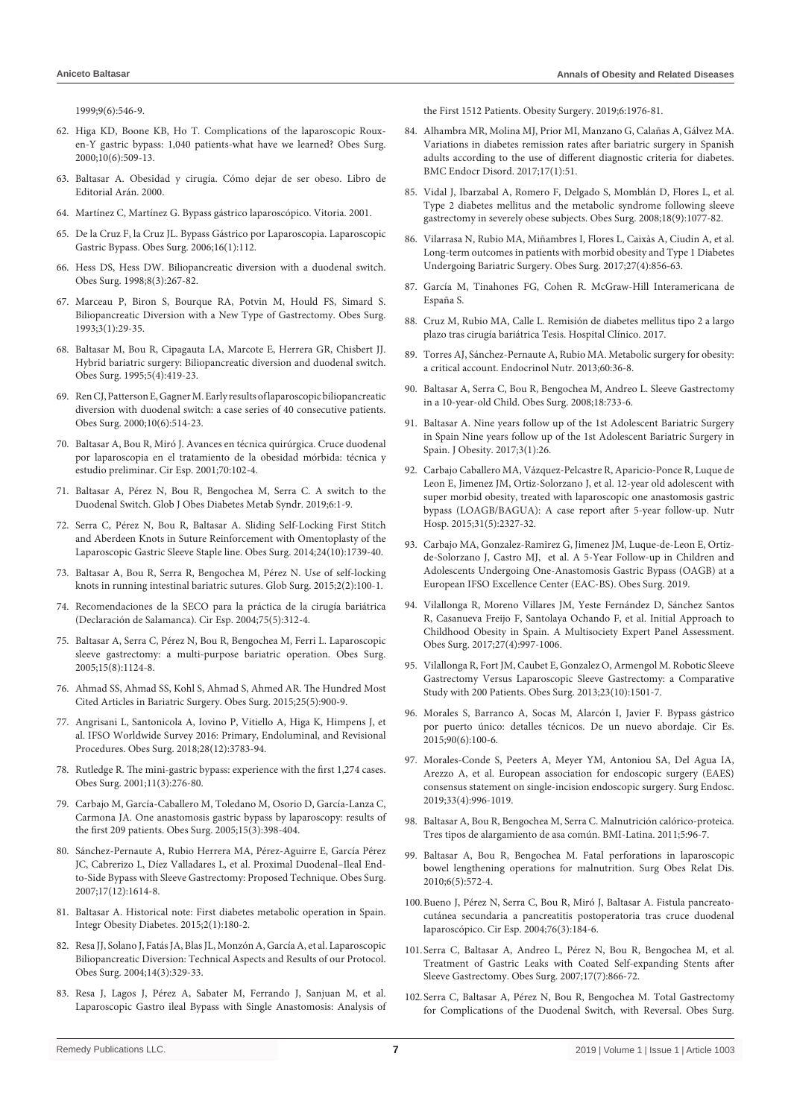[1999;9\(6\):546-9.](https://www.ncbi.nlm.nih.gov/pubmed/10638480)

- 62. [Higa KD, Boone KB, Ho T. Complications of the laparoscopic Roux](https://www.ncbi.nlm.nih.gov/pubmed/11175957)[en-Y gastric bypass: 1,040 patients-what have we learned? Obes Surg.](https://www.ncbi.nlm.nih.gov/pubmed/11175957)  [2000;10\(6\):509-13.](https://www.ncbi.nlm.nih.gov/pubmed/11175957)
- 63. [Baltasar A. Obesidad y cirugía. Cómo dejar de ser obeso. Libro de](https://books.google.co.in/books/about/Obesidad_y_cirug%C3%ADa.html?id=3XpacoK8H1sC&redir_esc=y)  [Editorial Arán. 2000.](https://books.google.co.in/books/about/Obesidad_y_cirug%C3%ADa.html?id=3XpacoK8H1sC&redir_esc=y)
- 64. Martínez C, Martínez G. Bypass gástrico laparoscópico. Vitoria. 2001.
- 65. [De la Cruz F, la Cruz JL. Bypass Gástrico por Laparoscopia. Laparoscopic](https://search.proquest.com/openview/4dfd311eaf3cd62ce200b880600787ad/1?pq-origsite=gscholar&cbl=55143)  [Gastric Bypass. Obes Surg. 2006;16\(1\):112.](https://search.proquest.com/openview/4dfd311eaf3cd62ce200b880600787ad/1?pq-origsite=gscholar&cbl=55143)
- 66. [Hess DS, Hess DW. Biliopancreatic diversion with a duodenal switch.](https://www.ncbi.nlm.nih.gov/pubmed/9678194)  [Obes Surg. 1998;8\(3\):267-82.](https://www.ncbi.nlm.nih.gov/pubmed/9678194)
- 67. [Marceau P, Biron S, Bourque RA, Potvin M, Hould FS, Simard S.](https://www.ncbi.nlm.nih.gov/pubmed/10757900)  [Biliopancreatic Diversion with a New Type of Gastrectomy. Obes Surg.](https://www.ncbi.nlm.nih.gov/pubmed/10757900)  [1993;3\(1\):29-35.](https://www.ncbi.nlm.nih.gov/pubmed/10757900)
- 68. [Baltasar M, Bou R, Cipagauta LA, Marcote E, Herrera GR, Chisbert JJ.](https://www.ncbi.nlm.nih.gov/pubmed/10733838)  [Hybrid bariatric surgery: Biliopancreatic diversion and duodenal switch.](https://www.ncbi.nlm.nih.gov/pubmed/10733838)  [Obes Surg. 1995;5\(4\):419-23.](https://www.ncbi.nlm.nih.gov/pubmed/10733838)
- 69. [Ren CJ, Patterson E, Gagner M. Early results of laparoscopic biliopancreatic](https://www.ncbi.nlm.nih.gov/pubmed/11175958)  [diversion with duodenal switch: a case series of 40 consecutive patients.](https://www.ncbi.nlm.nih.gov/pubmed/11175958)  [Obes Surg. 2000;10\(6\):514-23.](https://www.ncbi.nlm.nih.gov/pubmed/11175958)
- 70. Baltasar A, Bou R, Miró J. Avances en técnica quirúrgica. Cruce duodenal por laparoscopia en el tratamiento de la obesidad mórbida: técnica y estudio preliminar. Cir Esp. 2001;70:102-4.
- 71. [Baltasar A, Pérez N, Bou R, Bengochea M, Serra C. A switch to the](https://www.peertechz.com/articles/GJODMS-6-135.php)  [Duodenal Switch. Glob J Obes Diabetes Metab Syndr. 2019;6:1-9.](https://www.peertechz.com/articles/GJODMS-6-135.php)
- 72. [Serra C, Pérez N, Bou R, Baltasar A. Sliding Self-Locking First Stitch](https://www.ncbi.nlm.nih.gov/pubmed/25085221)  [and Aberdeen Knots in Suture Reinforcement with Omentoplasty of the](https://www.ncbi.nlm.nih.gov/pubmed/25085221)  [Laparoscopic Gastric Sleeve Staple line. Obes Surg. 2014;24\(10\):1739-40.](https://www.ncbi.nlm.nih.gov/pubmed/25085221)
- 73. [Baltasar A, Bou R, Serra R, Bengochea M, Pérez N. Use of self-locking](https://www.oatext.com/pdf/GOS-2-132.pdf)  [knots in running intestinal bariatric sutures. Glob Surg. 2015;2\(2\):100-1.](https://www.oatext.com/pdf/GOS-2-132.pdf)
- 74. [Recomendaciones de la SECO para la práctica de la cirugía bariátrica](https://www.elsevier.es/es-revista-cirugia-espanola-36-articulo-recomendaciones-seco-practica-cirugia-bariatrica-S0009739X04723283)  [\(Declaración de Salamanca\). Cir Esp. 2004;75\(5\):312-4.](https://www.elsevier.es/es-revista-cirugia-espanola-36-articulo-recomendaciones-seco-practica-cirugia-bariatrica-S0009739X04723283)
- 75. Baltasar A, Serra C, Pérez N, Bou R, Bengochea M, Ferri L. Laparoscopic sleeve gastrectomy: a multi-purpose bariatric operation. Obes Surg. 2005;15(8):1124-8.
- 76. [Ahmad SS, Ahmad SS, Kohl S, Ahmad S, Ahmed AR. The Hundred Most](https://www.ncbi.nlm.nih.gov/pubmed/25720513)  [Cited Articles in Bariatric Surgery. Obes Surg. 2015;25\(5\):900-9.](https://www.ncbi.nlm.nih.gov/pubmed/25720513)
- 77. [Angrisani L, Santonicola A, Iovino P, Vitiello A, Higa K, Himpens J, et](https://www.ncbi.nlm.nih.gov/pubmed/30121858)  [al. IFSO Worldwide Survey 2016: Primary, Endoluminal, and Revisional](https://www.ncbi.nlm.nih.gov/pubmed/30121858)  [Procedures. Obes Surg. 2018;28\(12\):3783-94.](https://www.ncbi.nlm.nih.gov/pubmed/30121858)
- 78. [Rutledge R. The mini-gastric bypass: experience with the first 1,274 cases.](https://www.ncbi.nlm.nih.gov/pubmed/11433900)  [Obes Surg. 2001;11\(3\):276-80.](https://www.ncbi.nlm.nih.gov/pubmed/11433900)
- 79. [Carbajo M, García-Caballero M, Toledano M, Osorio D, García-Lanza C,](https://www.ncbi.nlm.nih.gov/pubmed/15826476)  [Carmona JA. One anastomosis gastric bypass by laparoscopy: results of](https://www.ncbi.nlm.nih.gov/pubmed/15826476)  [the first 209 patients. Obes Surg. 2005;15\(3\):398-404.](https://www.ncbi.nlm.nih.gov/pubmed/15826476)
- 80. [Sánchez-Pernaute A, Rubio Herrera MA, Pérez-Aguirre E, García Pérez](https://www.ncbi.nlm.nih.gov/pubmed/18040751)  [JC, Cabrerizo L, Díez Valladares L, et al. Proximal Duodenal–Ileal End](https://www.ncbi.nlm.nih.gov/pubmed/18040751)[to-Side Bypass with Sleeve Gastrectomy: Proposed Technique. Obes Surg.](https://www.ncbi.nlm.nih.gov/pubmed/18040751)  [2007;17\(12\):1614-8.](https://www.ncbi.nlm.nih.gov/pubmed/18040751)
- 81. [Baltasar A. Historical note: First diabetes metabolic operation in Spain.](https://www.oatext.com/pdf/IOD-2-140.pdf)  [Integr Obesity Diabetes. 2015;2\(1\):180-2](https://www.oatext.com/pdf/IOD-2-140.pdf).
- 82. [Resa JJ, Solano J, Fatás JA, Blas JL, Monzón A, García A, et al. Laparoscopic](https://www.ncbi.nlm.nih.gov/pubmed/15072652)  [Biliopancreatic Diversion: Technical Aspects and Results of our Protocol.](https://www.ncbi.nlm.nih.gov/pubmed/15072652)  [Obes Surg. 2004;14\(3\):329-33.](https://www.ncbi.nlm.nih.gov/pubmed/15072652)
- 83. Resa J, Lagos J, Pérez A, Sabater M, Ferrando J, Sanjuan M, et al. Laparoscopic Gastro ileal Bypass with Single Anastomosis: Analysis of

the First 1512 Patients. Obesity Surgery. 2019;6:1976-81.

- 84. [Alhambra MR, Molina MJ, Prior MI, Manzano G, Calañas A, Gálvez MA.](https://www.ncbi.nlm.nih.gov/pubmed/28810850)  [Variations in diabetes remission rates after bariatric surgery in Spanish](https://www.ncbi.nlm.nih.gov/pubmed/28810850)  [adults according to the use of different diagnostic criteria for diabetes.](https://www.ncbi.nlm.nih.gov/pubmed/28810850)  [BMC Endocr Disord. 2017;17\(1\):51.](https://www.ncbi.nlm.nih.gov/pubmed/28810850)
- 85. [Vidal J, Ibarzabal A, Romero F, Delgado S, Momblán D, Flores L, et al.](https://www.ncbi.nlm.nih.gov/pubmed/18521701)  [Type 2 diabetes mellitus and the metabolic syndrome following sleeve](https://www.ncbi.nlm.nih.gov/pubmed/18521701)  [gastrectomy in severely obese subjects. Obes Surg. 2008;18\(9\):1077-82.](https://www.ncbi.nlm.nih.gov/pubmed/18521701)
- 86. [Vilarrasa N, Rubio MA, Miñambres I, Flores L, Caixàs A, Ciudin A, et al.](https://www.ncbi.nlm.nih.gov/pubmed/27709487)  [Long-term outcomes in patients with morbid obesity and Type 1 Diabetes](https://www.ncbi.nlm.nih.gov/pubmed/27709487)  [Undergoing Bariatric Surgery. Obes Surg. 2017;27\(4\):856-63.](https://www.ncbi.nlm.nih.gov/pubmed/27709487)
- 87. García M, Tinahones FG, Cohen R. McGraw-Hill Interamericana de España S.
- 88. [Cruz M, Rubio MA, Calle L. Remisión de diabetes mellitus tipo 2 a largo](https://eprints.ucm.es/44455/)  [plazo tras cirugía bariátrica Tesis. Hospital Clínico. 2017.](https://eprints.ucm.es/44455/)
- 89. [Torres AJ, Sánchez-Pernaute A, Rubio MA. Metabolic surgery for obesity:](https://www.ncbi.nlm.nih.gov/pubmed/24490225)  [a critical account. Endocrinol Nutr. 2013;60:36-8.](https://www.ncbi.nlm.nih.gov/pubmed/24490225)
- 90. [Baltasar A, Serra C, Bou R, Bengochea M, Andreo L. Sleeve Gastrectomy](http://drbaltasar.es/pdf/211.2008.02.EN Baltasar     BS. SG in a 10 years old child.OS (2008) 18.733%E2%80%93736. DOI 10.1007s11695-007-9328-3.pdf)  [in a 10-year-old Child. Obes Surg. 2008;18:733-6.](http://drbaltasar.es/pdf/211.2008.02.EN Baltasar       BS. SG in a 10 years old child.OS (2008) 18.733%E2%80%93736. DOI 10.1007s11695-007-9328-3.pdf)
- 91. Baltasar A. Nine years follow up of the 1st Adolescent Bariatric Surgery in Spain Nine years follow up of the 1st Adolescent Bariatric Surgery in Spain. J Obesity. 2017;3(1):26.
- 92. [Carbajo Caballero MA, Vázquez-Pelcastre R, Aparicio-Ponce R, Luque de](https://www.ncbi.nlm.nih.gov/pubmed/25929410)  [Leon E, Jimenez JM, Ortiz-Solorzano J, et al. 12-year old adolescent with](https://www.ncbi.nlm.nih.gov/pubmed/25929410)  [super morbid obesity, treated with laparoscopic one anastomosis gastric](https://www.ncbi.nlm.nih.gov/pubmed/25929410)  [bypass \(LOAGB/BAGUA\): A case report after 5-year follow-up. Nutr](https://www.ncbi.nlm.nih.gov/pubmed/25929410)  [Hosp. 2015;31\(5\):2327-32.](https://www.ncbi.nlm.nih.gov/pubmed/25929410)
- 93. [Carbajo MA, Gonzalez-Ramirez G, Jimenez JM, Luque-de-Leon E, Ortiz](https://www.ncbi.nlm.nih.gov/pubmed/31049849)[de-Solorzano J, Castro MJ, et al. A 5-Year Follow-up in Children and](https://www.ncbi.nlm.nih.gov/pubmed/31049849)  [Adolescents Undergoing One-Anastomosis Gastric Bypass \(OAGB\) at a](https://www.ncbi.nlm.nih.gov/pubmed/31049849)  [European IFSO Excellence Center \(EAC-BS\). Obes Surg. 2019.](https://www.ncbi.nlm.nih.gov/pubmed/31049849)
- 94. [Vilallonga R, Moreno Villares JM, Yeste Fernández D, Sánchez Santos](https://www.ncbi.nlm.nih.gov/pubmed/27752806)  [R, Casanueva Freijo F, Santolaya Ochando F, et al. Initial Approach to](https://www.ncbi.nlm.nih.gov/pubmed/27752806)  [Childhood Obesity in Spain. A Multisociety Expert Panel Assessment.](https://www.ncbi.nlm.nih.gov/pubmed/27752806)  [Obes Surg. 2017;27\(4\):997-1006.](https://www.ncbi.nlm.nih.gov/pubmed/27752806)
- 95. [Vilallonga R, Fort JM, Caubet E, Gonzalez O, Armengol M. Robotic Sleeve](https://www.ncbi.nlm.nih.gov/pubmed/23897216)  [Gastrectomy Versus Laparoscopic Sleeve Gastrectomy: a Comparative](https://www.ncbi.nlm.nih.gov/pubmed/23897216)  [Study with 200 Patients. Obes Surg. 2013;23\(10\):1501-7.](https://www.ncbi.nlm.nih.gov/pubmed/23897216)
- 96. [Morales S, Barranco A, Socas M, Alarcón I, Javier F. Bypass gástrico](https://www.elsevier.es/es-revista-cirugia-espanola-36-articulo-bypass-gastrico-por-puerto-unico-S0009739X12000449)  [por puerto único: detalles técnicos. De un nuevo abordaje. Cir Es.](https://www.elsevier.es/es-revista-cirugia-espanola-36-articulo-bypass-gastrico-por-puerto-unico-S0009739X12000449)  [2015;90\(6\):100-6.](https://www.elsevier.es/es-revista-cirugia-espanola-36-articulo-bypass-gastrico-por-puerto-unico-S0009739X12000449)
- 97. [Morales-Conde S, Peeters A, Meyer YM, Antoniou SA, Del Agua IA,](https://www.ncbi.nlm.nih.gov/pubmed/30771069)  [Arezzo A, et al. European association for endoscopic surgery \(EAES\)](https://www.ncbi.nlm.nih.gov/pubmed/30771069)  [consensus statement on single-incision endoscopic surgery. Surg Endosc.](https://www.ncbi.nlm.nih.gov/pubmed/30771069)  [2019;33\(4\):996-1019.](https://www.ncbi.nlm.nih.gov/pubmed/30771069)
- 98. Baltasar A, Bou R, Bengochea M, Serra C. Malnutrición calórico-proteica. Tres tipos de alargamiento de asa común. BMI-Latina. 2011;5:96-7.
- 99. [Baltasar A, Bou R, Bengochea M. Fatal perforations in laparoscopic](https://www.ncbi.nlm.nih.gov/pubmed/20176511)  [bowel lengthening operations for malnutrition. Surg Obes Relat Dis.](https://www.ncbi.nlm.nih.gov/pubmed/20176511)  [2010;6\(5\):572-4.](https://www.ncbi.nlm.nih.gov/pubmed/20176511)
- 100.[Bueno J, Pérez N, Serra C, Bou R, Miró J, Baltasar A. Fistula pancreato](https://www.elsevier.es/es-revista-cirugia-espanola-36-articulo-fistula-pancreatocutanea-secundaria-pancreatitis-postoperatoria-S0009739X04789605)[cutánea secundaria a pancreatitis postoperatoria tras cruce duodenal](https://www.elsevier.es/es-revista-cirugia-espanola-36-articulo-fistula-pancreatocutanea-secundaria-pancreatitis-postoperatoria-S0009739X04789605)  [laparoscópico. Cir Esp. 2004;76\(3\):184-6.](https://www.elsevier.es/es-revista-cirugia-espanola-36-articulo-fistula-pancreatocutanea-secundaria-pancreatitis-postoperatoria-S0009739X04789605)
- 101.[Serra C, Baltasar A, Andreo L, Pérez N, Bou R, Bengochea M, et al.](https://www.ncbi.nlm.nih.gov/pubmed/17894143)  [Treatment of Gastric Leaks with Coated Self-expanding Stents after](https://www.ncbi.nlm.nih.gov/pubmed/17894143)  [Sleeve Gastrectomy. Obes Surg. 2007;17\(7\):866-72.](https://www.ncbi.nlm.nih.gov/pubmed/17894143)
- 102.[Serra C, Baltasar A, Pérez N, Bou R, Bengochea M. Total Gastrectomy](https://www.ncbi.nlm.nih.gov/pubmed/16901364)  [for Complications of the Duodenal Switch, with Reversal. Obes Surg.](https://www.ncbi.nlm.nih.gov/pubmed/16901364)